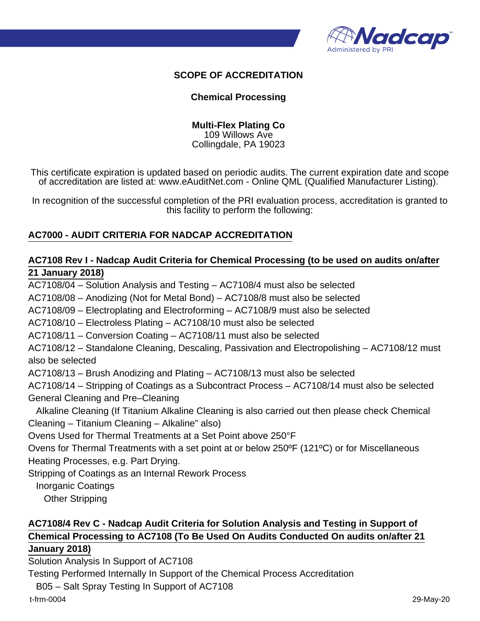

#### **SCOPE OF ACCREDITATION**

#### **Chemical Processing**

**Multi-Flex Plating Co** 109 Willows Ave Collingdale, PA 19023

This certificate expiration is updated based on periodic audits. The current expiration date and scope of accreditation are listed at: www.eAuditNet.com - Online QML (Qualified Manufacturer Listing).

In recognition of the successful completion of the PRI evaluation process, accreditation is granted to this facility to perform the following:

#### **AC7000 - AUDIT CRITERIA FOR NADCAP ACCREDITATION**

#### **AC7108 Rev I - Nadcap Audit Criteria for Chemical Processing (to be used on audits on/after 21 January 2018)**

AC7108/04 – Solution Analysis and Testing – AC7108/4 must also be selected AC7108/08 – Anodizing (Not for Metal Bond) – AC7108/8 must also be selected AC7108/09 – Electroplating and Electroforming – AC7108/9 must also be selected AC7108/10 – Electroless Plating – AC7108/10 must also be selected AC7108/11 – Conversion Coating – AC7108/11 must also be selected AC7108/12 – Standalone Cleaning, Descaling, Passivation and Electropolishing – AC7108/12 must also be selected AC7108/13 – Brush Anodizing and Plating – AC7108/13 must also be selected AC7108/14 – Stripping of Coatings as a Subcontract Process – AC7108/14 must also be selected General Cleaning and Pre–Cleaning Alkaline Cleaning (If Titanium Alkaline Cleaning is also carried out then please check Chemical Cleaning – Titanium Cleaning – Alkaline" also) Ovens Used for Thermal Treatments at a Set Point above 250°F Ovens for Thermal Treatments with a set point at or below 250ºF (121ºC) or for Miscellaneous Heating Processes, e.g. Part Drying. Stripping of Coatings as an Internal Rework Process Inorganic Coatings Other Stripping

## **AC7108/4 Rev C - Nadcap Audit Criteria for Solution Analysis and Testing in Support of Chemical Processing to AC7108 (To Be Used On Audits Conducted On audits on/after 21**

#### **January 2018)**

Solution Analysis In Support of AC7108

Testing Performed Internally In Support of the Chemical Process Accreditation

B05 – Salt Spray Testing In Support of AC7108

t-frm-0004 29-May-20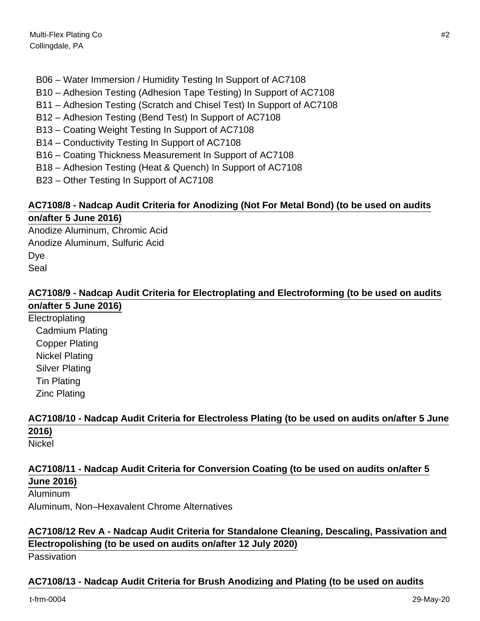- B06 Water Immersion / Humidity Testing In Support of AC7108
- B10 Adhesion Testing (Adhesion Tape Testing) In Support of AC7108
- B11 Adhesion Testing (Scratch and Chisel Test) In Support of AC7108
- B12 Adhesion Testing (Bend Test) In Support of AC7108
- B13 Coating Weight Testing In Support of AC7108
- B14 Conductivity Testing In Support of AC7108
- B16 Coating Thickness Measurement In Support of AC7108
- B18 Adhesion Testing (Heat & Quench) In Support of AC7108
- B23 Other Testing In Support of AC7108

# **AC7108/8 - Nadcap Audit Criteria for Anodizing (Not For Metal Bond) (to be used on audits**

### **on/after 5 June 2016)**

Anodize Aluminum, Chromic Acid Anodize Aluminum, Sulfuric Acid Dye Seal

#### **AC7108/9 - Nadcap Audit Criteria for Electroplating and Electroforming (to be used on audits on/after 5 June 2016)**

Electroplating Cadmium Plating Copper Plating Nickel Plating Silver Plating Tin Plating Zinc Plating

# **AC7108/10 - Nadcap Audit Criteria for Electroless Plating (to be used on audits on/after 5 June 2016)**

### Nickel

## **AC7108/11 - Nadcap Audit Criteria for Conversion Coating (to be used on audits on/after 5 June 2016)**

Aluminum

Aluminum, Non–Hexavalent Chrome Alternatives

### **AC7108/12 Rev A - Nadcap Audit Criteria for Standalone Cleaning, Descaling, Passivation and Electropolishing (to be used on audits on/after 12 July 2020)**

Passivation

### **AC7108/13 - Nadcap Audit Criteria for Brush Anodizing and Plating (to be used on audits**